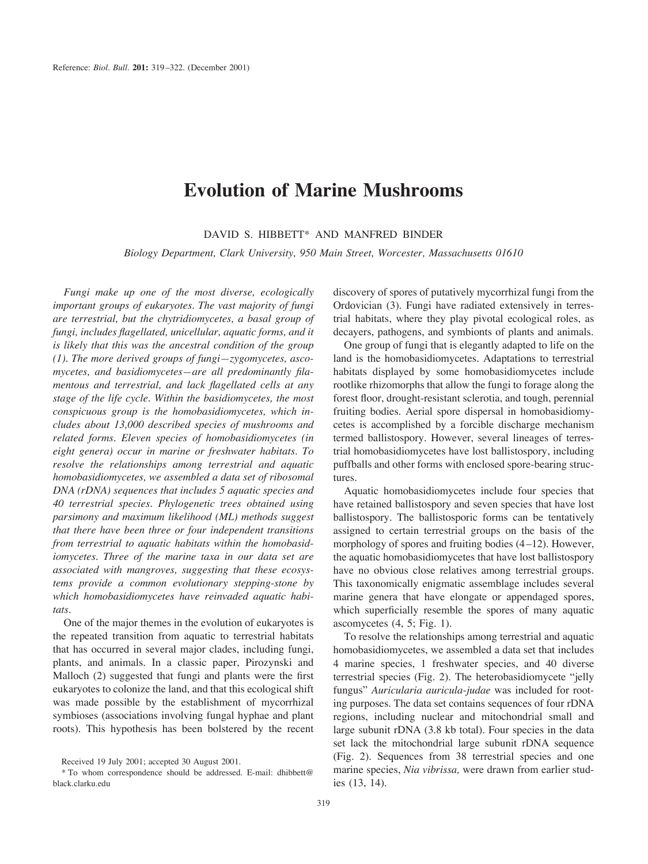## **Evolution of Marine Mushrooms**

DAVID S. HIBBETT\* AND MANFRED BINDER

*Biology Department, Clark University, 950 Main Street, Worcester, Massachusetts 01610*

*Fungi make up one of the most diverse, ecologically important groups of eukaryotes. The vast majority of fungi are terrestrial, but the chytridiomycetes, a basal group of fungi, includes flagellated, unicellular, aquatic forms, and it is likely that this was the ancestral condition of the group (1). The more derived groups of fungi—zygomycetes, ascomycetes, and basidiomycetes—are all predominantly filamentous and terrestrial, and lack flagellated cells at any stage of the life cycle. Within the basidiomycetes, the most conspicuous group is the homobasidiomycetes, which includes about 13,000 described species of mushrooms and related forms. Eleven species of homobasidiomycetes (in eight genera) occur in marine or freshwater habitats. To resolve the relationships among terrestrial and aquatic homobasidiomycetes, we assembled a data set of ribosomal DNA (rDNA) sequences that includes 5 aquatic species and 40 terrestrial species. Phylogenetic trees obtained using parsimony and maximum likelihood (ML) methods suggest that there have been three or four independent transitions from terrestrial to aquatic habitats within the homobasidiomycetes. Three of the marine taxa in our data set are associated with mangroves, suggesting that these ecosystems provide a common evolutionary stepping-stone by which homobasidiomycetes have reinvaded aquatic habitats.*

One of the major themes in the evolution of eukaryotes is the repeated transition from aquatic to terrestrial habitats that has occurred in several major clades, including fungi, plants, and animals. In a classic paper, Pirozynski and Malloch (2) suggested that fungi and plants were the first eukaryotes to colonize the land, and that this ecological shift was made possible by the establishment of mycorrhizal symbioses (associations involving fungal hyphae and plant roots). This hypothesis has been bolstered by the recent discovery of spores of putatively mycorrhizal fungi from the Ordovician (3). Fungi have radiated extensively in terrestrial habitats, where they play pivotal ecological roles, as decayers, pathogens, and symbionts of plants and animals.

One group of fungi that is elegantly adapted to life on the land is the homobasidiomycetes. Adaptations to terrestrial habitats displayed by some homobasidiomycetes include rootlike rhizomorphs that allow the fungi to forage along the forest floor, drought-resistant sclerotia, and tough, perennial fruiting bodies. Aerial spore dispersal in homobasidiomycetes is accomplished by a forcible discharge mechanism termed ballistospory. However, several lineages of terrestrial homobasidiomycetes have lost ballistospory, including puffballs and other forms with enclosed spore-bearing structures.

Aquatic homobasidiomycetes include four species that have retained ballistospory and seven species that have lost ballistospory. The ballistosporic forms can be tentatively assigned to certain terrestrial groups on the basis of the morphology of spores and fruiting bodies (4–12). However, the aquatic homobasidiomycetes that have lost ballistospory have no obvious close relatives among terrestrial groups. This taxonomically enigmatic assemblage includes several marine genera that have elongate or appendaged spores, which superficially resemble the spores of many aquatic ascomycetes (4, 5; Fig. 1).

To resolve the relationships among terrestrial and aquatic homobasidiomycetes, we assembled a data set that includes 4 marine species, 1 freshwater species, and 40 diverse terrestrial species (Fig. 2). The heterobasidiomycete "jelly fungus" *Auricularia auricula-judae* was included for rooting purposes. The data set contains sequences of four rDNA regions, including nuclear and mitochondrial small and large subunit rDNA (3.8 kb total). Four species in the data set lack the mitochondrial large subunit rDNA sequence (Fig. 2). Sequences from 38 terrestrial species and one marine species, *Nia vibrissa,* were drawn from earlier studies (13, 14).

Received 19 July 2001; accepted 30 August 2001.

<sup>\*</sup> To whom correspondence should be addressed. E-mail: dhibbett@ black.clarku.edu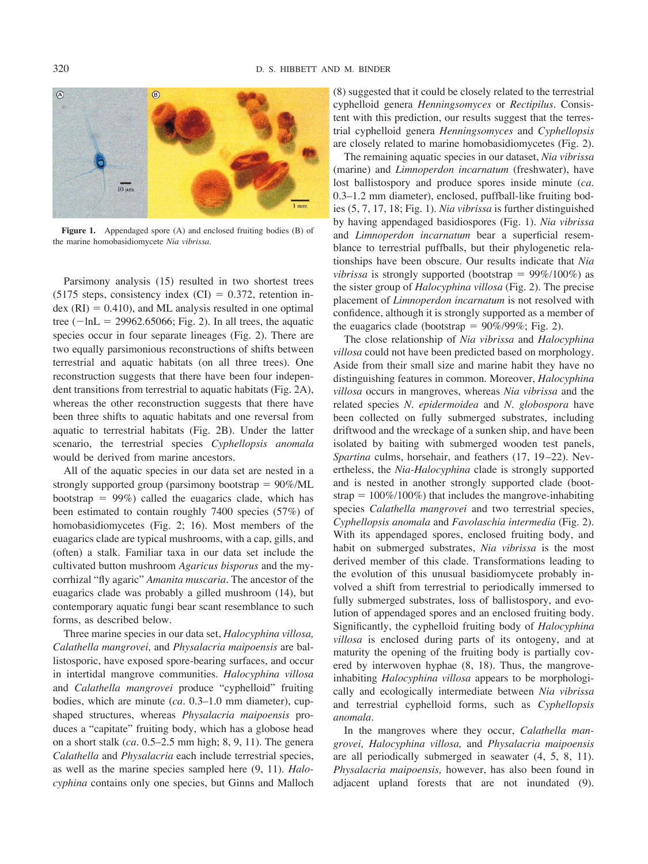

**Figure 1.** Appendaged spore (A) and enclosed fruiting bodies (B) of the marine homobasidiomycete *Nia vibrissa.*

Parsimony analysis (15) resulted in two shortest trees (5175 steps, consistency index  $(CI) = 0.372$ , retention in $dex (RI) = 0.410$ , and ML analysis resulted in one optimal tree  $(-\ln L = 29962.65066;$  Fig. 2). In all trees, the aquatic species occur in four separate lineages (Fig. 2). There are two equally parsimonious reconstructions of shifts between terrestrial and aquatic habitats (on all three trees). One reconstruction suggests that there have been four independent transitions from terrestrial to aquatic habitats (Fig. 2A), whereas the other reconstruction suggests that there have been three shifts to aquatic habitats and one reversal from aquatic to terrestrial habitats (Fig. 2B). Under the latter scenario, the terrestrial species *Cyphellopsis anomala* would be derived from marine ancestors.

All of the aquatic species in our data set are nested in a strongly supported group (parsimony bootstrap  $= 90\%$ /ML bootstrap  $= 99\%$ ) called the euagarics clade, which has been estimated to contain roughly 7400 species (57%) of homobasidiomycetes (Fig. 2; 16). Most members of the euagarics clade are typical mushrooms, with a cap, gills, and (often) a stalk. Familiar taxa in our data set include the cultivated button mushroom *Agaricus bisporus* and the mycorrhizal "fly agaric" *Amanita muscaria.* The ancestor of the euagarics clade was probably a gilled mushroom (14), but contemporary aquatic fungi bear scant resemblance to such forms, as described below.

Three marine species in our data set, *Halocyphina villosa, Calathella mangrovei,* and *Physalacria maipoensis* are ballistosporic, have exposed spore-bearing surfaces, and occur in intertidal mangrove communities. *Halocyphina villosa* and *Calathella mangrovei* produce "cyphelloid" fruiting bodies, which are minute (*ca.* 0.3–1.0 mm diameter), cupshaped structures, whereas *Physalacria maipoensis* produces a "capitate" fruiting body, which has a globose head on a short stalk (*ca.* 0.5–2.5 mm high; 8, 9, 11). The genera *Calathella* and *Physalacria* each include terrestrial species, as well as the marine species sampled here (9, 11). *Halocyphina* contains only one species, but Ginns and Malloch (8) suggested that it could be closely related to the terrestrial cyphelloid genera *Henningsomyces* or *Rectipilus.* Consistent with this prediction, our results suggest that the terrestrial cyphelloid genera *Henningsomyces* and *Cyphellopsis* are closely related to marine homobasidiomycetes (Fig. 2).

The remaining aquatic species in our dataset, *Nia vibrissa* (marine) and *Limnoperdon incarnatum* (freshwater), have lost ballistospory and produce spores inside minute (*ca.* 0.3–1.2 mm diameter), enclosed, puffball-like fruiting bodies (5, 7, 17, 18; Fig. 1). *Nia vibrissa* is further distinguished by having appendaged basidiospores (Fig. 1). *Nia vibrissa* and *Limnoperdon incarnatum* bear a superficial resemblance to terrestrial puffballs, but their phylogenetic relationships have been obscure. Our results indicate that *Nia vibrissa* is strongly supported (bootstrap  $= 99\%/100\%)$  as the sister group of *Halocyphina villosa* (Fig. 2). The precise placement of *Limnoperdon incarnatum* is not resolved with confidence, although it is strongly supported as a member of the euagarics clade (bootstrap  $= 90\%/99\%$ ; Fig. 2).

The close relationship of *Nia vibrissa* and *Halocyphina villosa* could not have been predicted based on morphology. Aside from their small size and marine habit they have no distinguishing features in common. Moreover, *Halocyphina villosa* occurs in mangroves, whereas *Nia vibrissa* and the related species *N. epidermoidea* and *N. globospora* have been collected on fully submerged substrates, including driftwood and the wreckage of a sunken ship, and have been isolated by baiting with submerged wooden test panels, *Spartina* culms, horsehair, and feathers (17, 19–22). Nevertheless, the *Nia-Halocyphina* clade is strongly supported and is nested in another strongly supported clade (bootstrap  $= 100\%/100\%)$  that includes the mangrove-inhabiting species *Calathella mangrovei* and two terrestrial species, *Cyphellopsis anomala* and *Favolaschia intermedia* (Fig. 2). With its appendaged spores, enclosed fruiting body, and habit on submerged substrates, *Nia vibrissa* is the most derived member of this clade. Transformations leading to the evolution of this unusual basidiomycete probably involved a shift from terrestrial to periodically immersed to fully submerged substrates, loss of ballistospory, and evolution of appendaged spores and an enclosed fruiting body. Significantly, the cyphelloid fruiting body of *Halocyphina villosa* is enclosed during parts of its ontogeny, and at maturity the opening of the fruiting body is partially covered by interwoven hyphae (8, 18). Thus, the mangroveinhabiting *Halocyphina villosa* appears to be morphologically and ecologically intermediate between *Nia vibrissa* and terrestrial cyphelloid forms, such as *Cyphellopsis anomala.*

In the mangroves where they occur, *Calathella mangrovei, Halocyphina villosa,* and *Physalacria maipoensis* are all periodically submerged in seawater (4, 5, 8, 11). *Physalacria maipoensis,* however, has also been found in adjacent upland forests that are not inundated (9).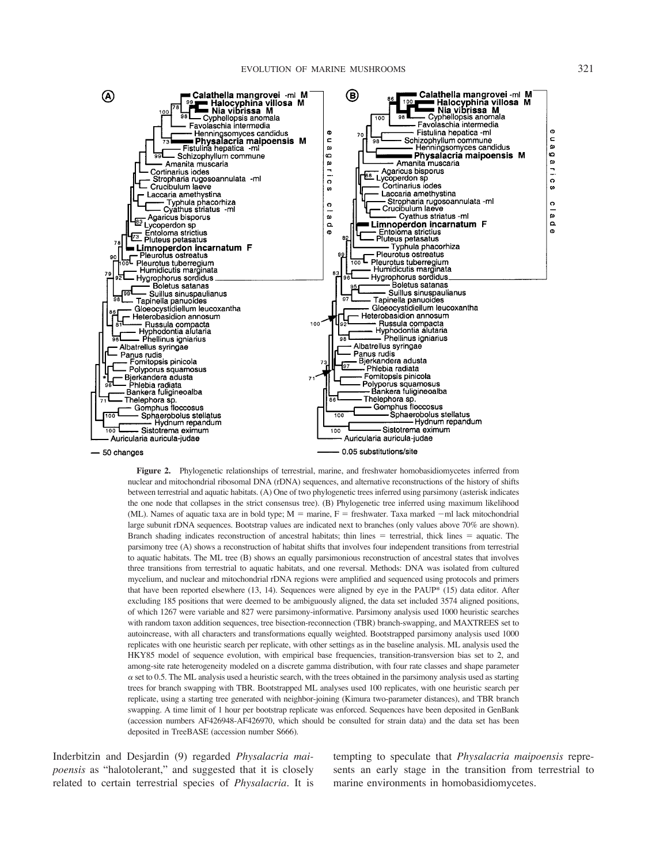

**Figure 2.** Phylogenetic relationships of terrestrial, marine, and freshwater homobasidiomycetes inferred from nuclear and mitochondrial ribosomal DNA (rDNA) sequences, and alternative reconstructions of the history of shifts between terrestrial and aquatic habitats. (A) One of two phylogenetic trees inferred using parsimony (asterisk indicates the one node that collapses in the strict consensus tree). (B) Phylogenetic tree inferred using maximum likelihood (ML). Names of aquatic taxa are in bold type;  $M =$  marine,  $F =$  freshwater. Taxa marked  $-m$  lack mitochondrial large subunit rDNA sequences. Bootstrap values are indicated next to branches (only values above 70% are shown). Branch shading indicates reconstruction of ancestral habitats; thin lines  $=$  terrestrial, thick lines  $=$  aquatic. The parsimony tree (A) shows a reconstruction of habitat shifts that involves four independent transitions from terrestrial to aquatic habitats. The ML tree (B) shows an equally parsimonious reconstruction of ancestral states that involves three transitions from terrestrial to aquatic habitats, and one reversal. Methods: DNA was isolated from cultured mycelium, and nuclear and mitochondrial rDNA regions were amplified and sequenced using protocols and primers that have been reported elsewhere (13, 14). Sequences were aligned by eye in the PAUP\* (15) data editor. After excluding 185 positions that were deemed to be ambiguously aligned, the data set included 3574 aligned positions, of which 1267 were variable and 827 were parsimony-informative. Parsimony analysis used 1000 heuristic searches with random taxon addition sequences, tree bisection-reconnection (TBR) branch-swapping, and MAXTREES set to autoincrease, with all characters and transformations equally weighted. Bootstrapped parsimony analysis used 1000 replicates with one heuristic search per replicate, with other settings as in the baseline analysis. ML analysis used the HKY85 model of sequence evolution, with empirical base frequencies, transition-transversion bias set to 2, and among-site rate heterogeneity modeled on a discrete gamma distribution, with four rate classes and shape parameter  $\alpha$  set to 0.5. The ML analysis used a heuristic search, with the trees obtained in the parsimony analysis used as starting trees for branch swapping with TBR. Bootstrapped ML analyses used 100 replicates, with one heuristic search per replicate, using a starting tree generated with neighbor-joining (Kimura two-parameter distances), and TBR branch swapping. A time limit of 1 hour per bootstrap replicate was enforced. Sequences have been deposited in GenBank (accession numbers AF426948-AF426970, which should be consulted for strain data) and the data set has been deposited in TreeBASE (accession number S666).

Inderbitzin and Desjardin (9) regarded *Physalacria maipoensis* as "halotolerant," and suggested that it is closely related to certain terrestrial species of *Physalacria.* It is

tempting to speculate that *Physalacria maipoensis* represents an early stage in the transition from terrestrial to marine environments in homobasidiomycetes.